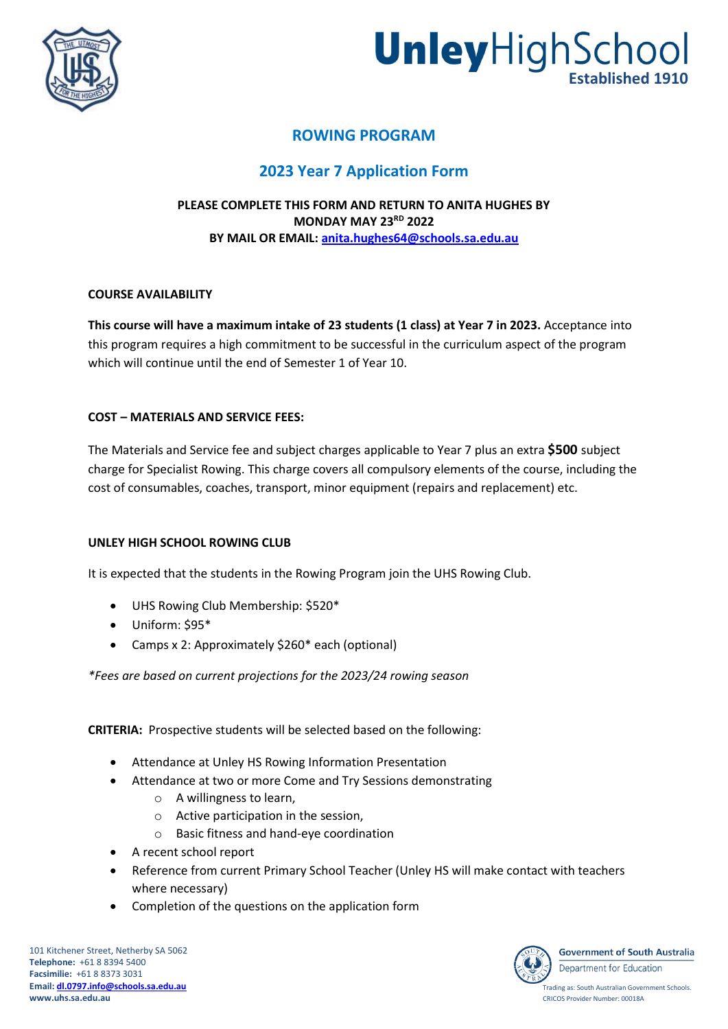



# **ROWING PROGRAM**

# **2023 Year 7 Application Form**

# **PLEASE COMPLETE THIS FORM AND RETURN TO ANITA HUGHES BY MONDAY MAY 23 RD 2022 BY MAIL OR EMAIL: [anita.hughes64@schools.sa.edu.au](mailto:anita.hughes64@schools.sa.edu.au)**

# **COURSE AVAILABILITY**

**This course will have a maximum intake of 23 students (1 class) at Year 7 in 2023.** Acceptance into this program requires a high commitment to be successful in the curriculum aspect of the program which will continue until the end of Semester 1 of Year 10.

# **COST – MATERIALS AND SERVICE FEES:**

The Materials and Service fee and subject charges applicable to Year 7 plus an extra **\$500** subject charge for Specialist Rowing. This charge covers all compulsory elements of the course, including the cost of consumables, coaches, transport, minor equipment (repairs and replacement) etc.

#### **UNLEY HIGH SCHOOL ROWING CLUB**

It is expected that the students in the Rowing Program join the UHS Rowing Club.

- UHS Rowing Club Membership: \$520\*
- Uniform: \$95\*
- Camps x 2: Approximately \$260\* each (optional)

*\*Fees are based on current projections for the 2023/24 rowing season*

**CRITERIA:** Prospective students will be selected based on the following:

- Attendance at Unley HS Rowing Information Presentation
- Attendance at two or more Come and Try Sessions demonstrating
	- o A willingness to learn,
	- o Active participation in the session,
	- o Basic fitness and hand-eye coordination
- A recent school report
- Reference from current Primary School Teacher (Unley HS will make contact with teachers where necessary)
- Completion of the questions on the application form

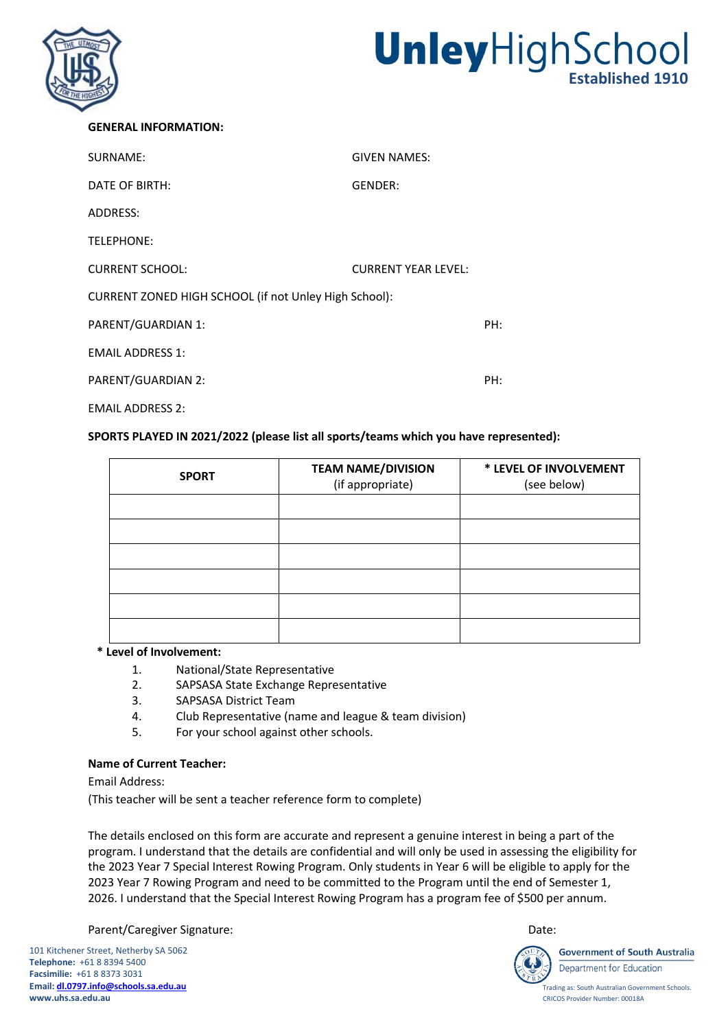

# UnleyHighSchool

#### **GENERAL INFORMATION:**

| SURNAME:                                              | <b>GIVEN NAMES:</b>        |     |  |
|-------------------------------------------------------|----------------------------|-----|--|
| DATE OF BIRTH:                                        | GENDER:                    |     |  |
| ADDRESS:                                              |                            |     |  |
| TELEPHONE:                                            |                            |     |  |
| <b>CURRENT SCHOOL:</b>                                | <b>CURRENT YEAR LEVEL:</b> |     |  |
| CURRENT ZONED HIGH SCHOOL (if not Unley High School): |                            |     |  |
| PARENT/GUARDIAN 1:                                    |                            | PH: |  |
| <b>EMAIL ADDRESS 1:</b>                               |                            |     |  |
| PARENT/GUARDIAN 2:                                    |                            | PH: |  |
| <b>EMAIL ADDRESS 2:</b>                               |                            |     |  |

#### **SPORTS PLAYED IN 2021/2022 (please list all sports/teams which you have represented):**

| <b>SPORT</b> | <b>TEAM NAME/DIVISION</b><br>(if appropriate) | * LEVEL OF INVOLVEMENT<br>(see below) |
|--------------|-----------------------------------------------|---------------------------------------|
|              |                                               |                                       |
|              |                                               |                                       |
|              |                                               |                                       |
|              |                                               |                                       |
|              |                                               |                                       |
|              |                                               |                                       |

## **\* Level of Involvement:**

- 1. National/State Representative
- 2. SAPSASA State Exchange Representative
- 3. SAPSASA District Team
- 4. Club Representative (name and league & team division)
- 5. For your school against other schools.

#### **Name of Current Teacher:**

Email Address:

(This teacher will be sent a teacher reference form to complete)

The details enclosed on this form are accurate and represent a genuine interest in being a part of the program. I understand that the details are confidential and will only be used in assessing the eligibility for the 2023 Year 7 Special Interest Rowing Program. Only students in Year 6 will be eligible to apply for the 2023 Year 7 Rowing Program and need to be committed to the Program until the end of Semester 1, 2026. I understand that the Special Interest Rowing Program has a program fee of \$500 per annum.

Parent/Caregiver Signature: Date: Date: Date: Date: Date: Date: Date: Date: Date: Date: Date: Date: Date: Date: Date: Date: Date: Date: Date: Date: Date: Date: Date: Date: Date: Date: Date: Date: Date: Date: Date: Date: Da

101 Kitchener Street, Netherby SA 5062 **Telephone:** +61 8 8394 5400 **Facsimilie:** +61 8 8373 3031 **Email[: dl.0797.info@schools.sa.edu.au](mailto:dl.0797.info@schools.sa.edu.au)  www.uhs.sa.edu.au**



**Government of South Australia** 

Trading as: South Australian Government Schools. CRICOS Provider Number: 00018A